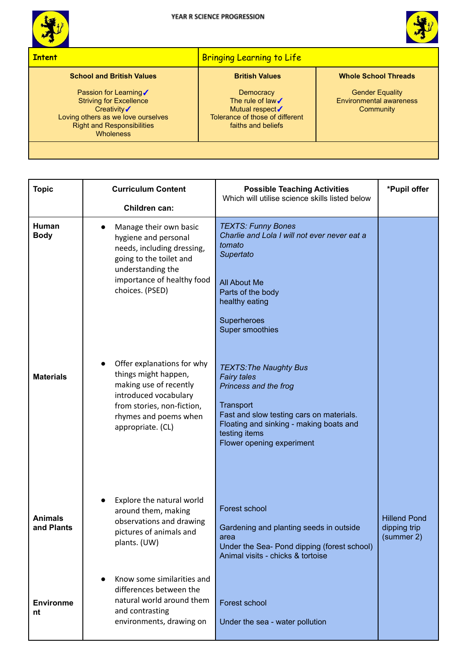



## **Intent** Bringing Learning to Life **Bringing Learning to Life School and British Values** Passion for Learning√ Striving for Excellence Creativity√ Loving others as we love ourselves Right and Responsibilities **Wholeness British Values Democracy** The rule of law√ Mutual respect√ Tolerance of those of different faiths and beliefs **Whole School Threads** Gender Equality Environmental awareness **Community**

| <b>Topic</b>                 | <b>Curriculum Content</b><br>Children can:                                                                                                                                        | <b>Possible Teaching Activities</b><br>Which will utilise science skills listed below                                                                                                                                          | *Pupil offer                                      |
|------------------------------|-----------------------------------------------------------------------------------------------------------------------------------------------------------------------------------|--------------------------------------------------------------------------------------------------------------------------------------------------------------------------------------------------------------------------------|---------------------------------------------------|
| Human<br><b>Body</b>         | Manage their own basic<br>hygiene and personal<br>needs, including dressing,<br>going to the toilet and<br>understanding the<br>importance of healthy food<br>choices. (PSED)     | <b>TEXTS: Funny Bones</b><br>Charlie and Lola I will not ever never eat a<br>tomato<br>Supertato<br><b>All About Me</b><br>Parts of the body<br>healthy eating<br>Superheroes<br>Super smoothies                               |                                                   |
| <b>Materials</b>             | Offer explanations for why<br>things might happen,<br>making use of recently<br>introduced vocabulary<br>from stories, non-fiction,<br>rhymes and poems when<br>appropriate. (CL) | <b>TEXTS: The Naughty Bus</b><br><b>Fairy tales</b><br>Princess and the frog<br>Transport<br>Fast and slow testing cars on materials.<br>Floating and sinking - making boats and<br>testing items<br>Flower opening experiment |                                                   |
| <b>Animals</b><br>and Plants | Explore the natural world<br>around them, making<br>observations and drawing<br>pictures of animals and<br>plants. (UW)                                                           | Forest school<br>Gardening and planting seeds in outside<br>area<br>Under the Sea- Pond dipping (forest school)<br>Animal visits - chicks & tortoise                                                                           | <b>Hillend Pond</b><br>dipping trip<br>(summer 2) |
| <b>Environme</b><br>nt       | Know some similarities and<br>differences between the<br>natural world around them<br>and contrasting<br>environments, drawing on                                                 | Forest school<br>Under the sea - water pollution                                                                                                                                                                               |                                                   |